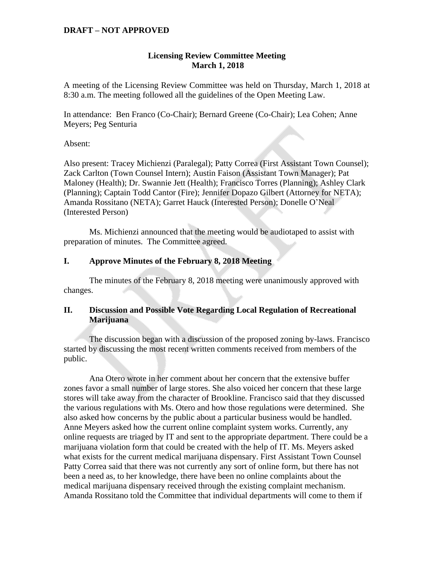# **Licensing Review Committee Meeting March 1, 2018**

A meeting of the Licensing Review Committee was held on Thursday, March 1, 2018 at 8:30 a.m. The meeting followed all the guidelines of the Open Meeting Law.

In attendance: Ben Franco (Co-Chair); Bernard Greene (Co-Chair); Lea Cohen; Anne Meyers; Peg Senturia

Absent:

Also present: Tracey Michienzi (Paralegal); Patty Correa (First Assistant Town Counsel); Zack Carlton (Town Counsel Intern); Austin Faison (Assistant Town Manager); Pat Maloney (Health); Dr. Swannie Jett (Health); Francisco Torres (Planning); Ashley Clark (Planning); Captain Todd Cantor (Fire); Jennifer Dopazo Gilbert (Attorney for NETA); Amanda Rossitano (NETA); Garret Hauck (Interested Person); Donelle O'Neal (Interested Person)

Ms. Michienzi announced that the meeting would be audiotaped to assist with preparation of minutes. The Committee agreed.

### **I. Approve Minutes of the February 8, 2018 Meeting**

The minutes of the February 8, 2018 meeting were unanimously approved with changes.

# **II. Discussion and Possible Vote Regarding Local Regulation of Recreational Marijuana**

The discussion began with a discussion of the proposed zoning by-laws. Francisco started by discussing the most recent written comments received from members of the public.

Ana Otero wrote in her comment about her concern that the extensive buffer zones favor a small number of large stores. She also voiced her concern that these large stores will take away from the character of Brookline. Francisco said that they discussed the various regulations with Ms. Otero and how those regulations were determined. She also asked how concerns by the public about a particular business would be handled. Anne Meyers asked how the current online complaint system works. Currently, any online requests are triaged by IT and sent to the appropriate department. There could be a marijuana violation form that could be created with the help of IT. Ms. Meyers asked what exists for the current medical marijuana dispensary. First Assistant Town Counsel Patty Correa said that there was not currently any sort of online form, but there has not been a need as, to her knowledge, there have been no online complaints about the medical marijuana dispensary received through the existing complaint mechanism. Amanda Rossitano told the Committee that individual departments will come to them if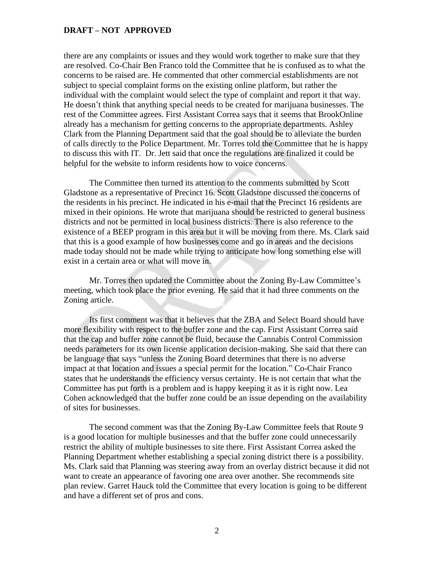there are any complaints or issues and they would work together to make sure that they are resolved. Co-Chair Ben Franco told the Committee that he is confused as to what the concerns to be raised are. He commented that other commercial establishments are not subject to special complaint forms on the existing online platform, but rather the individual with the complaint would select the type of complaint and report it that way. He doesn't think that anything special needs to be created for marijuana businesses. The rest of the Committee agrees. First Assistant Correa says that it seems that BrookOnline already has a mechanism for getting concerns to the appropriate departments. Ashley Clark from the Planning Department said that the goal should be to alleviate the burden of calls directly to the Police Department. Mr. Torres told the Committee that he is happy to discuss this with IT. Dr. Jett said that once the regulations are finalized it could be helpful for the website to inform residents how to voice concerns.

The Committee then turned its attention to the comments submitted by Scott Gladstone as a representative of Precinct 16. Scott Gladstone discussed the concerns of the residents in his precinct. He indicated in his e-mail that the Precinct 16 residents are mixed in their opinions. He wrote that marijuana should be restricted to general business districts and not be permitted in local business districts. There is also reference to the existence of a BEEP program in this area but it will be moving from there. Ms. Clark said that this is a good example of how businesses come and go in areas and the decisions made today should not be made while trying to anticipate how long something else will exist in a certain area or what will move in.

Mr. Torres then updated the Committee about the Zoning By-Law Committee's meeting, which took place the prior evening. He said that it had three comments on the Zoning article.

Its first comment was that it believes that the ZBA and Select Board should have more flexibility with respect to the buffer zone and the cap. First Assistant Correa said that the cap and buffer zone cannot be fluid, because the Cannabis Control Commission needs parameters for its own license application decision-making. She said that there can be language that says "unless the Zoning Board determines that there is no adverse impact at that location and issues a special permit for the location." Co-Chair Franco states that he understands the efficiency versus certainty. He is not certain that what the Committee has put forth is a problem and is happy keeping it as it is right now. Lea Cohen acknowledged that the buffer zone could be an issue depending on the availability of sites for businesses.

The second comment was that the Zoning By-Law Committee feels that Route 9 is a good location for multiple businesses and that the buffer zone could unnecessarily restrict the ability of multiple businesses to site there. First Assistant Correa asked the Planning Department whether establishing a special zoning district there is a possibility. Ms. Clark said that Planning was steering away from an overlay district because it did not want to create an appearance of favoring one area over another. She recommends site plan review. Garret Hauck told the Committee that every location is going to be different and have a different set of pros and cons.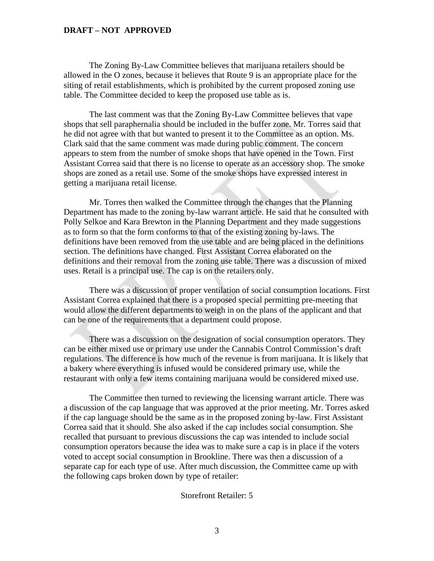The Zoning By-Law Committee believes that marijuana retailers should be allowed in the O zones, because it believes that Route 9 is an appropriate place for the siting of retail establishments, which is prohibited by the current proposed zoning use table. The Committee decided to keep the proposed use table as is.

The last comment was that the Zoning By-Law Committee believes that vape shops that sell paraphernalia should be included in the buffer zone. Mr. Torres said that he did not agree with that but wanted to present it to the Committee as an option. Ms. Clark said that the same comment was made during public comment. The concern appears to stem from the number of smoke shops that have opened in the Town. First Assistant Correa said that there is no license to operate as an accessory shop. The smoke shops are zoned as a retail use. Some of the smoke shops have expressed interest in getting a marijuana retail license.

Mr. Torres then walked the Committee through the changes that the Planning Department has made to the zoning by-law warrant article. He said that he consulted with Polly Selkoe and Kara Brewton in the Planning Department and they made suggestions as to form so that the form conforms to that of the existing zoning by-laws. The definitions have been removed from the use table and are being placed in the definitions section. The definitions have changed. First Assistant Correa elaborated on the definitions and their removal from the zoning use table. There was a discussion of mixed uses. Retail is a principal use. The cap is on the retailers only.

There was a discussion of proper ventilation of social consumption locations. First Assistant Correa explained that there is a proposed special permitting pre-meeting that would allow the different departments to weigh in on the plans of the applicant and that can be one of the requirements that a department could propose.

There was a discussion on the designation of social consumption operators. They can be either mixed use or primary use under the Cannabis Control Commission's draft regulations. The difference is how much of the revenue is from marijuana. It is likely that a bakery where everything is infused would be considered primary use, while the restaurant with only a few items containing marijuana would be considered mixed use.

The Committee then turned to reviewing the licensing warrant article. There was a discussion of the cap language that was approved at the prior meeting. Mr. Torres asked if the cap language should be the same as in the proposed zoning by-law. First Assistant Correa said that it should. She also asked if the cap includes social consumption. She recalled that pursuant to previous discussions the cap was intended to include social consumption operators because the idea was to make sure a cap is in place if the voters voted to accept social consumption in Brookline. There was then a discussion of a separate cap for each type of use. After much discussion, the Committee came up with the following caps broken down by type of retailer:

#### Storefront Retailer: 5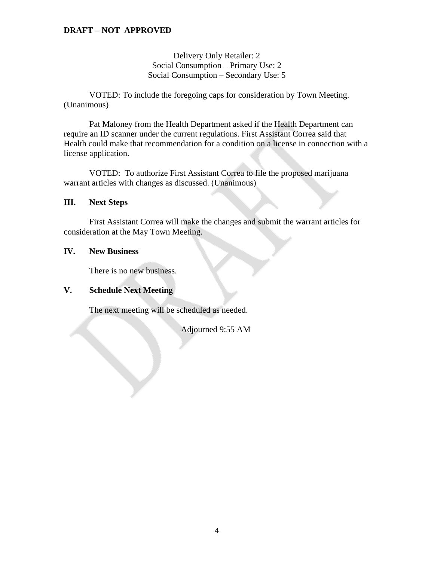## Delivery Only Retailer: 2 Social Consumption – Primary Use: 2 Social Consumption – Secondary Use: 5

VOTED: To include the foregoing caps for consideration by Town Meeting. (Unanimous)

Pat Maloney from the Health Department asked if the Health Department can require an ID scanner under the current regulations. First Assistant Correa said that Health could make that recommendation for a condition on a license in connection with a license application.

VOTED: To authorize First Assistant Correa to file the proposed marijuana warrant articles with changes as discussed. (Unanimous)

#### **III. Next Steps**

First Assistant Correa will make the changes and submit the warrant articles for consideration at the May Town Meeting.

#### **IV. New Business**

There is no new business.

## **V. Schedule Next Meeting**

The next meeting will be scheduled as needed.

Adjourned 9:55 AM